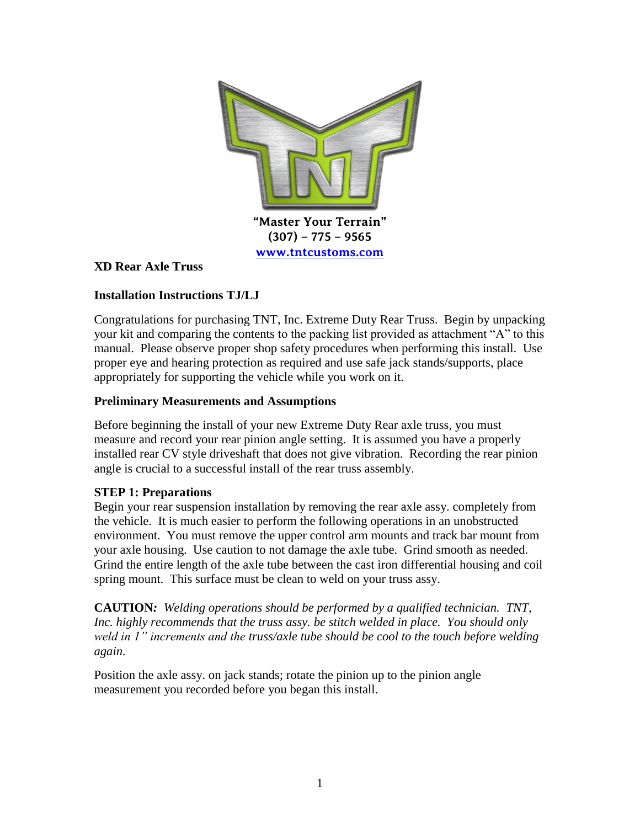

### **XD Rear Axle Truss**

## **Installation Instructions TJ/LJ**

Congratulations for purchasing TNT, Inc. Extreme Duty Rear Truss. Begin by unpacking your kit and comparing the contents to the packing list provided as attachment "A" to this manual. Please observe proper shop safety procedures when performing this install. Use proper eye and hearing protection as required and use safe jack stands/supports, place appropriately for supporting the vehicle while you work on it.

### **Preliminary Measurements and Assumptions**

Before beginning the install of your new Extreme Duty Rear axle truss, you must measure and record your rear pinion angle setting. It is assumed you have a properly installed rear CV style driveshaft that does not give vibration. Recording the rear pinion angle is crucial to a successful install of the rear truss assembly.

### **STEP 1: Preparations**

Begin your rear suspension installation by removing the rear axle assy. completely from the vehicle. It is much easier to perform the following operations in an unobstructed environment. You must remove the upper control arm mounts and track bar mount from your axle housing. Use caution to not damage the axle tube. Grind smooth as needed. Grind the entire length of the axle tube between the cast iron differential housing and coil spring mount. This surface must be clean to weld on your truss assy.

**CAUTION***: Welding operations should be performed by a qualified technician. TNT,*  Inc. highly recommends that the truss assy, be stitch welded in place. You should only *weld in 1" increments and the truss/axle tube should be cool to the touch before welding again.*

Position the axle assy. on jack stands; rotate the pinion up to the pinion angle measurement you recorded before you began this install.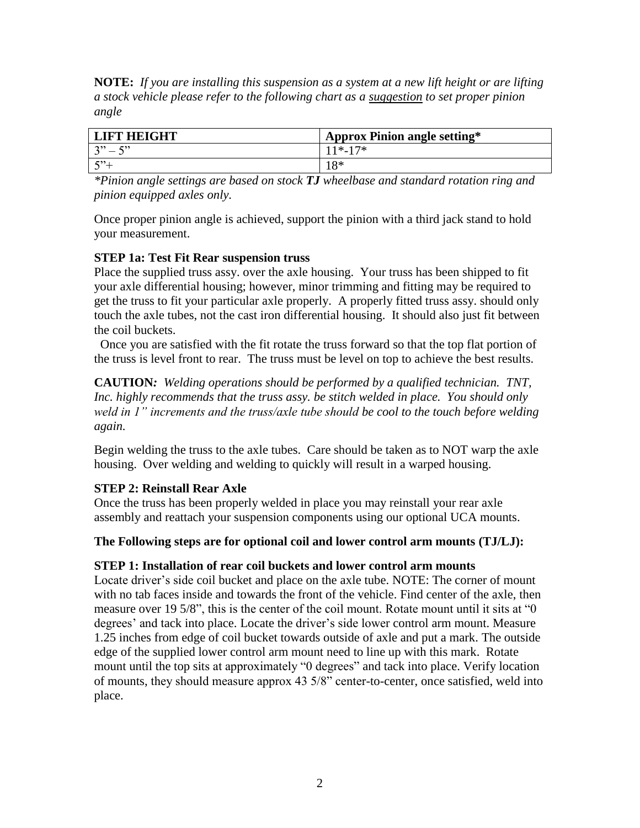**NOTE:** *If you are installing this suspension as a system at a new lift height or are lifting a stock vehicle please refer to the following chart as a suggestion to set proper pinion angle*

| <b>LIFT HEIGHT</b> | <b>Approx Pinion angle setting*</b> |
|--------------------|-------------------------------------|
| $3" - 5"$          | $11* - 17*$                         |
| $\sqrt{222}$       | 1 Q *                               |

*\*Pinion angle settings are based on stock TJ wheelbase and standard rotation ring and pinion equipped axles only.*

Once proper pinion angle is achieved, support the pinion with a third jack stand to hold your measurement.

## **STEP 1a: Test Fit Rear suspension truss**

Place the supplied truss assy. over the axle housing. Your truss has been shipped to fit your axle differential housing; however, minor trimming and fitting may be required to get the truss to fit your particular axle properly. A properly fitted truss assy. should only touch the axle tubes, not the cast iron differential housing. It should also just fit between the coil buckets.

 Once you are satisfied with the fit rotate the truss forward so that the top flat portion of the truss is level front to rear. The truss must be level on top to achieve the best results.

**CAUTION***: Welding operations should be performed by a qualified technician. TNT,*  Inc. highly recommends that the truss assy. be stitch welded in place. You should only *weld in 1" increments and the truss/axle tube should be cool to the touch before welding again.*

Begin welding the truss to the axle tubes. Care should be taken as to NOT warp the axle housing. Over welding and welding to quickly will result in a warped housing.

# **STEP 2: Reinstall Rear Axle**

Once the truss has been properly welded in place you may reinstall your rear axle assembly and reattach your suspension components using our optional UCA mounts.

### **The Following steps are for optional coil and lower control arm mounts (TJ/LJ):**

### **STEP 1: Installation of rear coil buckets and lower control arm mounts**

Locate driver's side coil bucket and place on the axle tube. NOTE: The corner of mount with no tab faces inside and towards the front of the vehicle. Find center of the axle, then measure over 19 5/8", this is the center of the coil mount. Rotate mount until it sits at "0 degrees' and tack into place. Locate the driver's side lower control arm mount. Measure 1.25 inches from edge of coil bucket towards outside of axle and put a mark. The outside edge of the supplied lower control arm mount need to line up with this mark. Rotate mount until the top sits at approximately "0 degrees" and tack into place. Verify location of mounts, they should measure approx 43 5/8" center-to-center, once satisfied, weld into place.